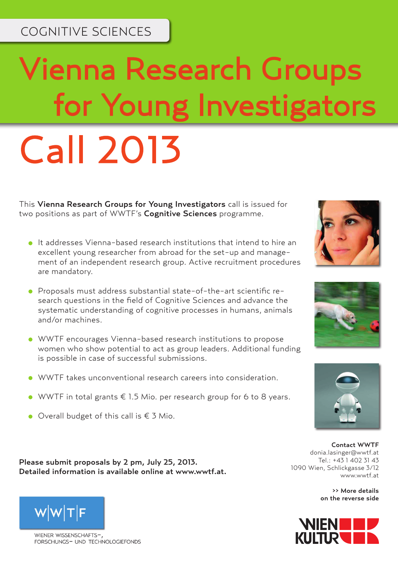## COGNITIVE SCIENCES

# Vienna Research Groups for Young Investigators Call 2013

This Vienna Research Groups for Young Investigators call is issued for two positions as part of WWTF's Cognitive Sciences programme.

- It addresses Vienna-based research institutions that intend to hire an excellent young researcher from abroad for the set-up and management of an independent research group. Active recruitment procedures are mandatory.
- Proposals must address substantial state-of-the-art scientific research questions in the field of Cognitive Sciences and advance the systematic understanding of cognitive processes in humans, animals and/or machines.
- WWTF encourages Vienna-based research institutions to propose women who show potential to act as group leaders. Additional funding is possible in case of successful submissions.
- WWTF takes unconventional research careers into consideration.
- WWTF in total grants  $€ 1.5$  Mio. per research group for 6 to 8 years.
- Overall budget of this call is € 3 Mio.

Please submit proposals by 2 pm, July 25, 2013. Detailed information is available online at www.wwtf.at.



>> More details on the reverse side





WIENER WISSENSCHAFTS-FORSCHUNGS- UND TECHNOLOGIEFONDS